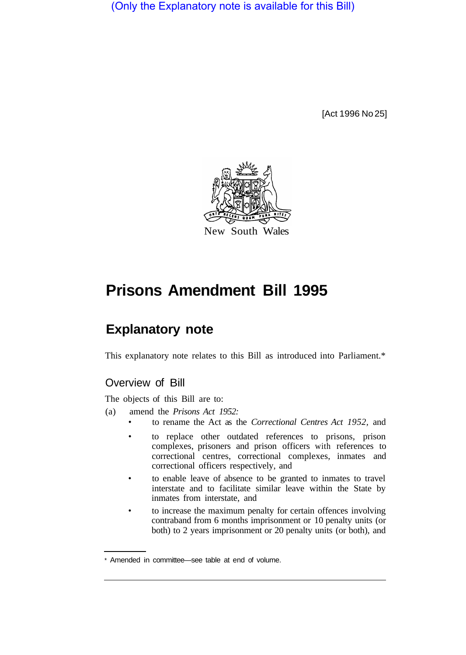(Only the Explanatory note is available for this Bill)

[Act 1996 No 25]



## **Prisons Amendment Bill 1995**

## **Explanatory note**

This explanatory note relates to this Bill as introduced into Parliament.\*

## Overview of Bill

The objects of this Bill are to:

- (a) amend the *Prisons Act 1952:* 
	- to rename the Act as the *Correctional Centres Act 1952,* and
	- to replace other outdated references to prisons, prison complexes, prisoners and prison officers with references to correctional centres, correctional complexes, inmates and correctional officers respectively, and
	- to enable leave of absence to be granted to inmates to travel interstate and to facilitate similar leave within the State by inmates from interstate, and
	- to increase the maximum penalty for certain offences involving contraband from 6 months imprisonment or 10 penalty units (or both) to 2 years imprisonment or 20 penalty units (or both), and

<sup>\*</sup> Amended in committee—see table at end of volume.